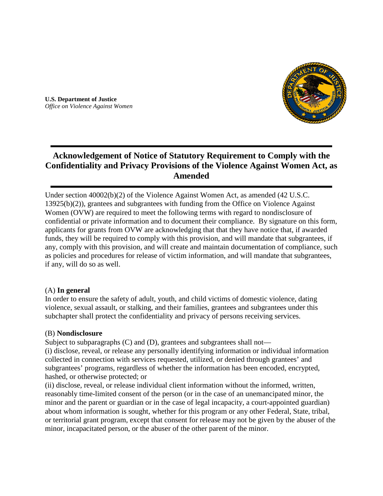

**U.S. Department of Justice**  *Office on Violence Against Women*

# **Acknowledgement of Notice of Statutory Requirement to Comply with the Confidentiality and Privacy Provisions of the Violence Against Women Act, as Amended**

Under section 40002(b)(2) of the Violence Against Women Act, as amended (42 U.S.C. 13925(b)(2)), grantees and subgrantees with funding from the Office on Violence Against Women (OVW) are required to meet the following terms with regard to nondisclosure of confidential or private information and to document their compliance. By signature on this form, applicants for grants from OVW are acknowledging that that they have notice that, if awarded funds, they will be required to comply with this provision, and will mandate that subgrantees, if any, comply with this provision, and will create and maintain documentation of compliance, such as policies and procedures for release of victim information, and will mandate that subgrantees, if any, will do so as well.

#### (A) **In general**

In order to ensure the safety of adult, youth, and child victims of domestic violence, dating violence, sexual assault, or stalking, and their families, grantees and subgrantees under this subchapter shall protect the confidentiality and privacy of persons receiving services.

#### (B) **Nondisclosure**

Subject to subparagraphs (C) and (D), grantees and subgrantees shall not—

(i) disclose, reveal, or release any personally identifying information or individual information collected in connection with services requested, utilized, or denied through grantees' and subgrantees' programs, regardless of whether the information has been encoded, encrypted, hashed, or otherwise protected; or

(ii) disclose, reveal, or release individual client information without the informed, written, reasonably time-limited consent of the person (or in the case of an unemancipated minor, the minor and the parent or guardian or in the case of legal incapacity, a court-appointed guardian) about whom information is sought, whether for this program or any other Federal, State, tribal, or territorial grant program, except that consent for release may not be given by the abuser of the minor, incapacitated person, or the abuser of the other parent of the minor.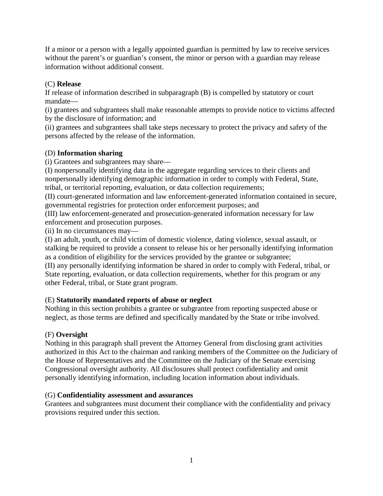If a minor or a person with a legally appointed guardian is permitted by law to receive services without the parent's or guardian's consent, the minor or person with a guardian may release information without additional consent.

## (C) **Release**

If release of information described in subparagraph (B) is compelled by statutory or court mandate—

(i) grantees and subgrantees shall make reasonable attempts to provide notice to victims affected by the disclosure of information; and

(ii) grantees and subgrantees shall take steps necessary to protect the privacy and safety of the persons affected by the release of the information.

## (D) **Information sharing**

(i) Grantees and subgrantees may share—

(I) nonpersonally identifying data in the aggregate regarding services to their clients and nonpersonally identifying demographic information in order to comply with Federal, State, tribal, or territorial reporting, evaluation, or data collection requirements;

(II) court-generated information and law enforcement-generated information contained in secure, governmental registries for protection order enforcement purposes; and

(III) law enforcement-generated and prosecution-generated information necessary for law enforcement and prosecution purposes.

(ii) In no circumstances may—

(I) an adult, youth, or child victim of domestic violence, dating violence, sexual assault, or stalking be required to provide a consent to release his or her personally identifying information as a condition of eligibility for the services provided by the grantee or subgrantee; (II) any personally identifying information be shared in order to comply with Federal, tribal, or

State reporting, evaluation, or data collection requirements, whether for this program or any other Federal, tribal, or State grant program.

## (E) **Statutorily mandated reports of abuse or neglect**

Nothing in this section prohibits a grantee or subgrantee from reporting suspected abuse or neglect, as those terms are defined and specifically mandated by the State or tribe involved.

## (F) **Oversight**

Nothing in this paragraph shall prevent the Attorney General from disclosing grant activities authorized in this Act to the chairman and ranking members of the Committee on the Judiciary of the House of Representatives and the Committee on the Judiciary of the Senate exercising Congressional oversight authority. All disclosures shall protect confidentiality and omit personally identifying information, including location information about individuals.

## (G) **Confidentiality assessment and assurances**

Grantees and subgrantees must document their compliance with the confidentiality and privacy provisions required under this section.